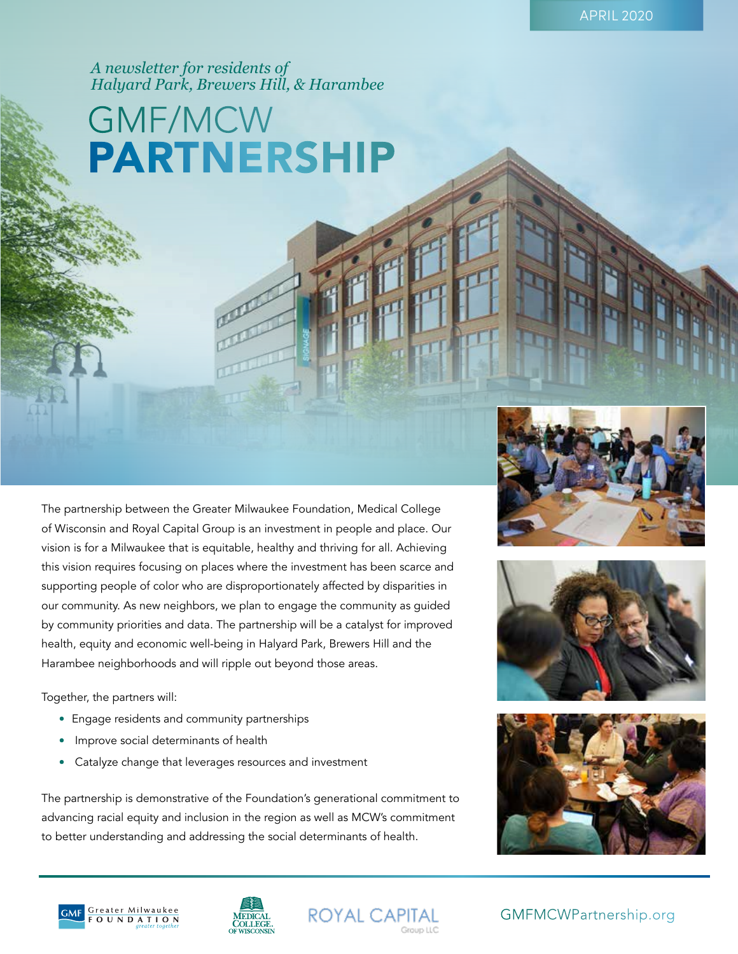*A newsletter for residents of Halyard Park, Brewers Hill, & Harambee*

# PARTNERSHIP GMF/MCW

The partnership between the Greater Milwaukee Foundation, Medical College of Wisconsin and Royal Capital Group is an investment in people and place. Our vision is for a Milwaukee that is equitable, healthy and thriving for all. Achieving this vision requires focusing on places where the investment has been scarce and supporting people of color who are disproportionately affected by disparities in our community. As new neighbors, we plan to engage the community as guided by community priorities and data. The partnership will be a catalyst for improved health, equity and economic well-being in Halyard Park, Brewers Hill and the Harambee neighborhoods and will ripple out beyond those areas.

Together, the partners will:

- Engage residents and community partnerships
- Improve social determinants of health
- Catalyze change that leverages resources and investment

The partnership is demonstrative of the Foundation's generational commitment to advancing racial equity and inclusion in the region as well as MCW's commitment to better understanding and addressing the social determinants of health.











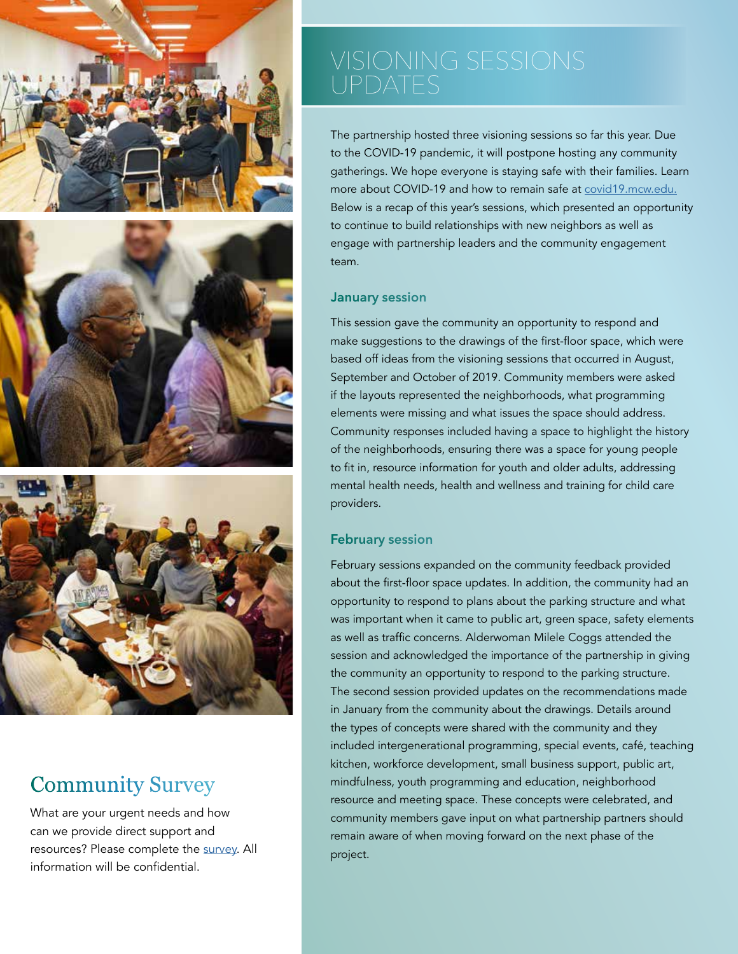





### Community Survey

What are your urgent needs and how can we provide direct support and resources? Please complete the [survey](https://docs.google.com/forms/d/e/1FAIpQLSfa22qDcdbY73fiV_AyM7vshjH2OTE-9csCd-VX404Em9aoxQ/viewform). All information will be confidential.

The partnership hosted three visioning sessions so far this year. Due to the COVID-19 pandemic, it will postpone hosting any community gatherings. We hope everyone is staying safe with their families. Learn more about COVID-19 and how to remain safe at [covid19.mcw.edu](https://covid19.mcw.edu/). Below is a recap of this year's sessions, which presented an opportunity to continue to build relationships with new neighbors as well as engage with partnership leaders and the community engagement team.

#### **January session**

This session gave the community an opportunity to respond and make suggestions to the drawings of the first-floor space, which were based off ideas from the visioning sessions that occurred in August, September and October of 2019. Community members were asked if the layouts represented the neighborhoods, what programming elements were missing and what issues the space should address. Community responses included having a space to highlight the history of the neighborhoods, ensuring there was a space for young people to fit in, resource information for youth and older adults, addressing mental health needs, health and wellness and training for child care providers.

#### **February session**

February sessions expanded on the community feedback provided about the first-floor space updates. In addition, the community had an opportunity to respond to plans about the parking structure and what was important when it came to public art, green space, safety elements as well as traffic concerns. Alderwoman Milele Coggs attended the session and acknowledged the importance of the partnership in giving the community an opportunity to respond to the parking structure. The second session provided updates on the recommendations made in January from the community about the drawings. Details around the types of concepts were shared with the community and they included intergenerational programming, special events, café, teaching kitchen, workforce development, small business support, public art, mindfulness, youth programming and education, neighborhood resource and meeting space. These concepts were celebrated, and community members gave input on what partnership partners should remain aware of when moving forward on the next phase of the project.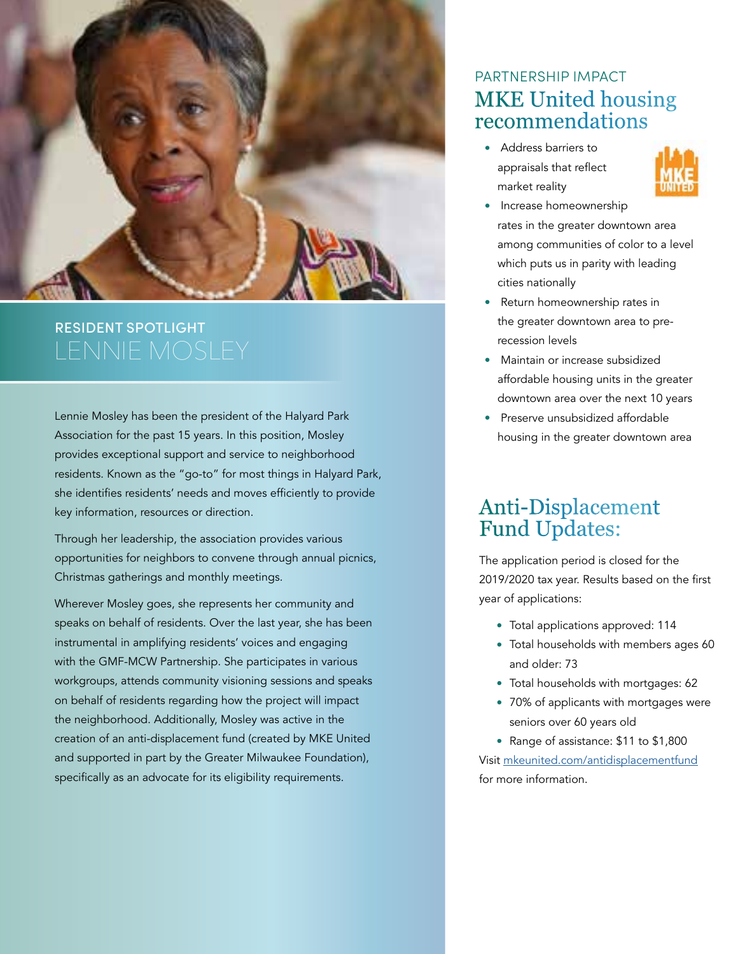

# RESIDENT SPOTLIGHT

Lennie Mosley has been the president of the Halyard Park Association for the past 15 years. In this position, Mosley provides exceptional support and service to neighborhood residents. Known as the "go-to" for most things in Halyard Park, she identifies residents' needs and moves efficiently to provide key information, resources or direction.

Through her leadership, the association provides various opportunities for neighbors to convene through annual picnics, Christmas gatherings and monthly meetings.

Wherever Mosley goes, she represents her community and speaks on behalf of residents. Over the last year, she has been instrumental in amplifying residents' voices and engaging with the GMF-MCW Partnership. She participates in various workgroups, attends community visioning sessions and speaks on behalf of residents regarding how the project will impact the neighborhood. Additionally, Mosley was active in the creation of an anti-displacement fund (created by MKE United and supported in part by the Greater Milwaukee Foundation), specifically as an advocate for its eligibility requirements.

#### MKE United housing recommendations PARTNERSHIP IMPACT

• Address barriers to appraisals that reflect market reality



- Increase homeownership rates in the greater downtown area among communities of color to a level which puts us in parity with leading cities nationally
- Return homeownership rates in the greater downtown area to prerecession levels
- Maintain or increase subsidized affordable housing units in the greater downtown area over the next 10 years
- Preserve unsubsidized affordable housing in the greater downtown area

### Anti-Displacement Fund Updates:

The application period is closed for the 2019/2020 tax year. Results based on the first year of applications:

- Total applications approved: 114
- Total households with members ages 60 and older: 73
- Total households with mortgages: 62
- 70% of applicants with mortgages were seniors over 60 years old
- Range of assistance: \$11 to \$1,800

Visit [mkeunited.com/antidisplacementfund](https://www.mkeunited.com/antidisplacementfund) for more information.